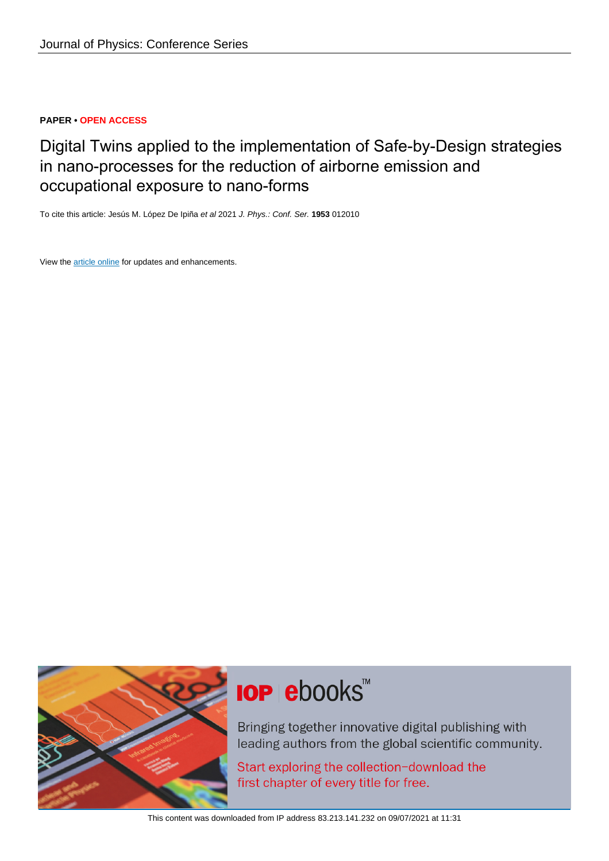### **PAPER • OPEN ACCESS**

## Digital Twins applied to the implementation of Safe-by-Design strategies in nano-processes for the reduction of airborne emission and occupational exposure to nano-forms

To cite this article: Jesús M. López De Ipiña et al 2021 J. Phys.: Conf. Ser. **1953** 012010

View the [article online](https://doi.org/10.1088/1742-6596/1953/1/012010) for updates and enhancements.



# **IOP ebooks™**

Bringing together innovative digital publishing with leading authors from the global scientific community.

Start exploring the collection-download the first chapter of every title for free.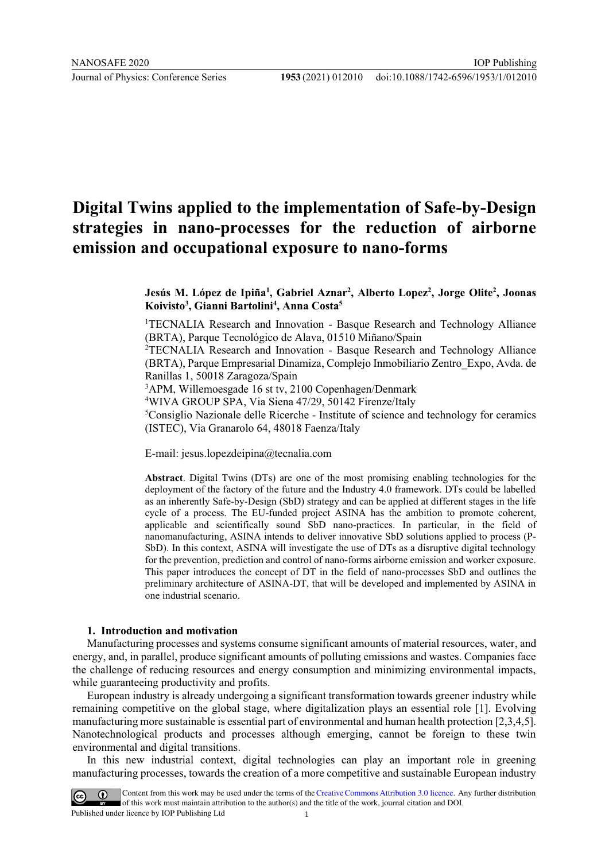## **Digital Twins applied to the implementation of Safe-by-Design strategies in nano-processes for the reduction of airborne emission and occupational exposure to nano-forms**

**Jesús M. López de Ipiña1 , Gabriel Aznar2 , Alberto Lopez2 , Jorge Olite2 , Joonas Koivisto3 , Gianni Bartolini4 , Anna Costa5**

<sup>1</sup>TECNALIA Research and Innovation - Basque Research and Technology Alliance (BRTA), Parque Tecnológico de Alava, 01510 Miñano/Spain

2 TECNALIA Research and Innovation - Basque Research and Technology Alliance (BRTA), Parque Empresarial Dinamiza, Complejo Inmobiliario Zentro\_Expo, Avda. de Ranillas 1, 50018 Zaragoza/Spain

3 APM, Willemoesgade 16 st tv, 2100 Copenhagen/Denmark

4 WIVA GROUP SPA, Via Siena 47/29, 50142 Firenze/Italy

5 Consiglio Nazionale delle Ricerche - Institute of science and technology for ceramics (ISTEC), Via Granarolo 64, 48018 Faenza/Italy

E-mail: jesus.lopezdeipina@tecnalia.com

**Abstract**. Digital Twins (DTs) are one of the most promising enabling technologies for the deployment of the factory of the future and the Industry 4.0 framework. DTs could be labelled as an inherently Safe-by-Design (SbD) strategy and can be applied at different stages in the life cycle of a process. The EU-funded project ASINA has the ambition to promote coherent, applicable and scientifically sound SbD nano-practices. In particular, in the field of nanomanufacturing, ASINA intends to deliver innovative SbD solutions applied to process (P-SbD). In this context, ASINA will investigate the use of DTs as a disruptive digital technology for the prevention, prediction and control of nano-forms airborne emission and worker exposure. This paper introduces the concept of DT in the field of nano-processes SbD and outlines the preliminary architecture of ASINA-DT, that will be developed and implemented by ASINA in one industrial scenario.

#### **1. Introduction and motivation**

Manufacturing processes and systems consume significant amounts of material resources, water, and energy, and, in parallel, produce significant amounts of polluting emissions and wastes. Companies face the challenge of reducing resources and energy consumption and minimizing environmental impacts, while guaranteeing productivity and profits.

European industry is already undergoing a significant transformation towards greener industry while remaining competitive on the global stage, where digitalization plays an essential role [1]. Evolving manufacturing more sustainable is essential part of environmental and human health protection [2,3,4,5]. Nanotechnological products and processes although emerging, cannot be foreign to these twin environmental and digital transitions.

In this new industrial context, digital technologies can play an important role in greening manufacturing processes, towards the creation of a more competitive and sustainable European industry

Content from this work may be used under the terms of the Creative Commons Attribution 3.0 licence. Any further distribution of this work must maintain attribution to the author(s) and the title of the work, journal citation and DOI. Published under licence by IOP Publishing Ltd 1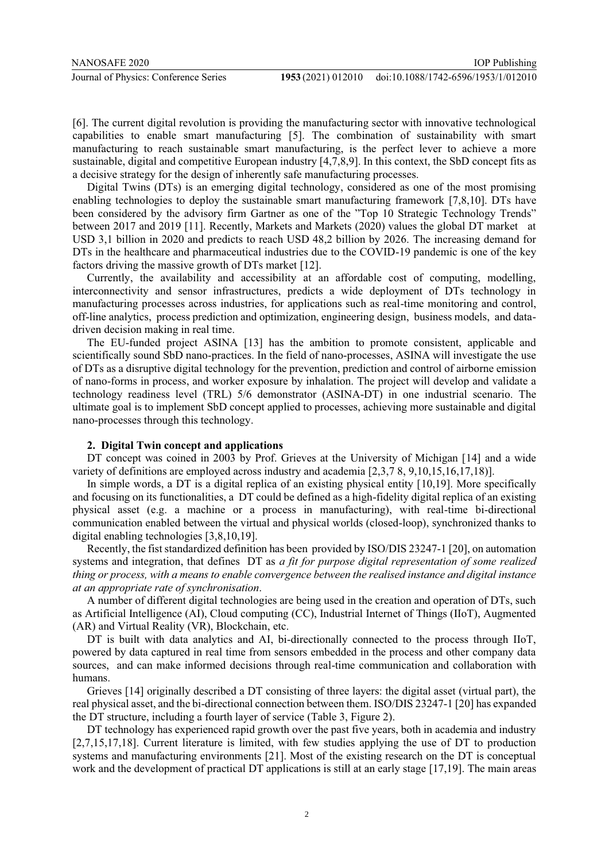doi:10.1088/1742-6596/1953/1/012010

[6]. The current digital revolution is providing the manufacturing sector with innovative technological capabilities to enable smart manufacturing [5]. The combination of sustainability with smart manufacturing to reach sustainable smart manufacturing, is the perfect lever to achieve a more sustainable, digital and competitive European industry [4,7,8,9]. In this context, the SbD concept fits as a decisive strategy for the design of inherently safe manufacturing processes.

Digital Twins (DTs) is an emerging digital technology, considered as one of the most promising enabling technologies to deploy the sustainable smart manufacturing framework [7,8,10]. DTs have been considered by the advisory firm Gartner as one of the "Top 10 Strategic Technology Trends" between 2017 and 2019 [11]. Recently, Markets and Markets (2020) values the global DT market at USD 3,1 billion in 2020 and predicts to reach USD 48,2 billion by 2026. The increasing demand for DTs in the healthcare and pharmaceutical industries due to the COVID-19 pandemic is one of the key factors driving the massive growth of DTs market [12].

Currently, the availability and accessibility at an affordable cost of computing, modelling, interconnectivity and sensor infrastructures, predicts a wide deployment of DTs technology in manufacturing processes across industries, for applications such as real-time monitoring and control, off-line analytics, process prediction and optimization, engineering design, business models, and datadriven decision making in real time.

The EU-funded project ASINA [13] has the ambition to promote consistent, applicable and scientifically sound SbD nano-practices. In the field of nano-processes, ASINA will investigate the use of DTs as a disruptive digital technology for the prevention, prediction and control of airborne emission of nano-forms in process, and worker exposure by inhalation. The project will develop and validate a technology readiness level (TRL) 5/6 demonstrator (ASINA-DT) in one industrial scenario. The ultimate goal is to implement SbD concept applied to processes, achieving more sustainable and digital nano-processes through this technology.

#### **2. Digital Twin concept and applications**

DT concept was coined in 2003 by Prof. Grieves at the University of Michigan [14] and a wide variety of definitions are employed across industry and academia [2,3,7 8, 9,10,15,16,17,18)].

In simple words, a DT is a digital replica of an existing physical entity [10,19]. More specifically and focusing on its functionalities, a DT could be defined as a high-fidelity digital replica of an existing physical asset (e.g. a machine or a process in manufacturing), with real-time bi-directional communication enabled between the virtual and physical worlds (closed-loop), synchronized thanks to digital enabling technologies [3,8,10,19].

Recently, the fist standardized definition has been provided by ISO/DIS 23247-1 [20], on automation systems and integration, that defines DT as *a fit for purpose digital representation of some realized thing or process, with a means to enable convergence between the realised instance and digital instance at an appropriate rate of synchronisation*.

A number of different digital technologies are being used in the creation and operation of DTs, such as Artificial Intelligence (AI), Cloud computing (CC), Industrial Internet of Things (IIoT), Augmented (AR) and Virtual Reality (VR), Blockchain, etc.

DT is built with data analytics and AI, bi-directionally connected to the process through IIoT, powered by data captured in real time from sensors embedded in the process and other company data sources, and can make informed decisions through real-time communication and collaboration with humans.

Grieves [14] originally described a DT consisting of three layers: the digital asset (virtual part), the real physical asset, and the bi-directional connection between them. ISO/DIS 23247-1 [20] has expanded the DT structure, including a fourth layer of service (Table 3, Figure 2).

DT technology has experienced rapid growth over the past five years, both in academia and industry [2,7,15,17,18]. Current literature is limited, with few studies applying the use of DT to production systems and manufacturing environments [21]. Most of the existing research on the DT is conceptual work and the development of practical DT applications is still at an early stage [17,19]. The main areas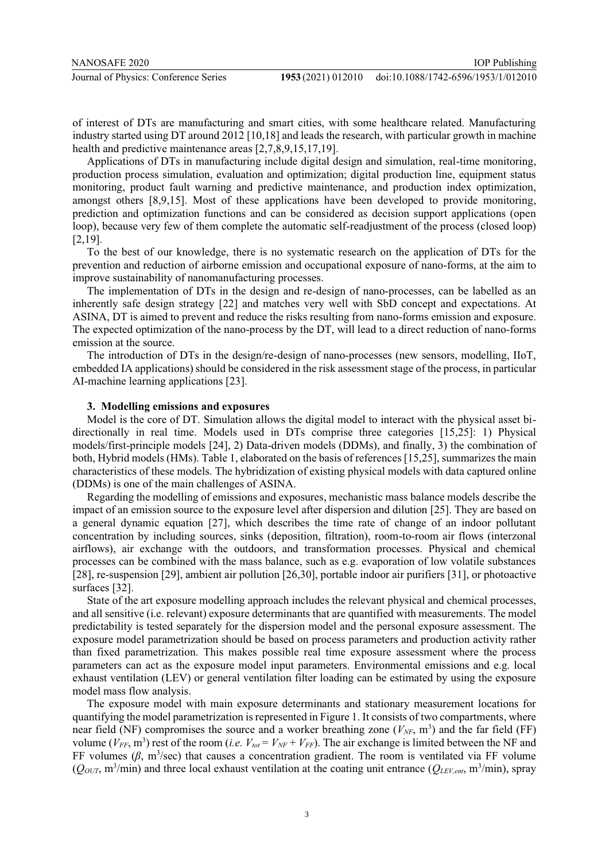of interest of DTs are manufacturing and smart cities, with some healthcare related. Manufacturing industry started using DT around 2012 [10,18] and leads the research, with particular growth in machine health and predictive maintenance areas [2,7,8,9,15,17,19].

Applications of DTs in manufacturing include digital design and simulation, real-time monitoring, production process simulation, evaluation and optimization; digital production line, equipment status monitoring, product fault warning and predictive maintenance, and production index optimization, amongst others [8,9,15]. Most of these applications have been developed to provide monitoring, prediction and optimization functions and can be considered as decision support applications (open loop), because very few of them complete the automatic self-readjustment of the process (closed loop) [2,19].

To the best of our knowledge, there is no systematic research on the application of DTs for the prevention and reduction of airborne emission and occupational exposure of nano-forms, at the aim to improve sustainability of nanomanufacturing processes.

The implementation of DTs in the design and re-design of nano-processes, can be labelled as an inherently safe design strategy [22] and matches very well with SbD concept and expectations. At ASINA, DT is aimed to prevent and reduce the risks resulting from nano-forms emission and exposure. The expected optimization of the nano-process by the DT, will lead to a direct reduction of nano-forms emission at the source.

The introduction of DTs in the design/re-design of nano-processes (new sensors, modelling, IIoT, embedded IA applications) should be considered in the risk assessment stage of the process, in particular AI-machine learning applications [23].

#### **3. Modelling emissions and exposures**

Model is the core of DT. Simulation allows the digital model to interact with the physical asset bidirectionally in real time. Models used in DTs comprise three categories [15,25]: 1) Physical models/first-principle models [24], 2) Data-driven models (DDMs), and finally, 3) the combination of both, Hybrid models (HMs). Table 1, elaborated on the basis of references [15,25], summarizes the main characteristics of these models. The hybridization of existing physical models with data captured online (DDMs) is one of the main challenges of ASINA.

Regarding the modelling of emissions and exposures, mechanistic mass balance models describe the impact of an emission source to the exposure level after dispersion and dilution [25]. They are based on a general dynamic equation [27], which describes the time rate of change of an indoor pollutant concentration by including sources, sinks (deposition, filtration), room-to-room air flows (interzonal airflows), air exchange with the outdoors, and transformation processes. Physical and chemical processes can be combined with the mass balance, such as e.g. evaporation of low volatile substances [28], re-suspension [29], ambient air pollution [26,30], portable indoor air purifiers [31], or photoactive surfaces [32].

State of the art exposure modelling approach includes the relevant physical and chemical processes, and all sensitive (i.e. relevant) exposure determinants that are quantified with measurements. The model predictability is tested separately for the dispersion model and the personal exposure assessment. The exposure model parametrization should be based on process parameters and production activity rather than fixed parametrization. This makes possible real time exposure assessment where the process parameters can act as the exposure model input parameters. Environmental emissions and e.g. local exhaust ventilation (LEV) or general ventilation filter loading can be estimated by using the exposure model mass flow analysis.

The exposure model with main exposure determinants and stationary measurement locations for quantifying the model parametrization is represented in Figure 1. It consists of two compartments, where near field (NF) compromises the source and a worker breathing zone  $(V_{NF}, m^3)$  and the far field (FF) volume ( $V_{FF}$ , m<sup>3</sup>) rest of the room (*i.e.*  $V_{tot} = V_{NF} + V_{FF}$ ). The air exchange is limited between the NF and FF volumes  $(\beta, m^3/\text{sec})$  that causes a concentration gradient. The room is ventilated via FF volume  $(Q_{OUT}, m^3/min)$  and three local exhaust ventilation at the coating unit entrance  $(Q_{LEV,ent}, m^3/min)$ , spray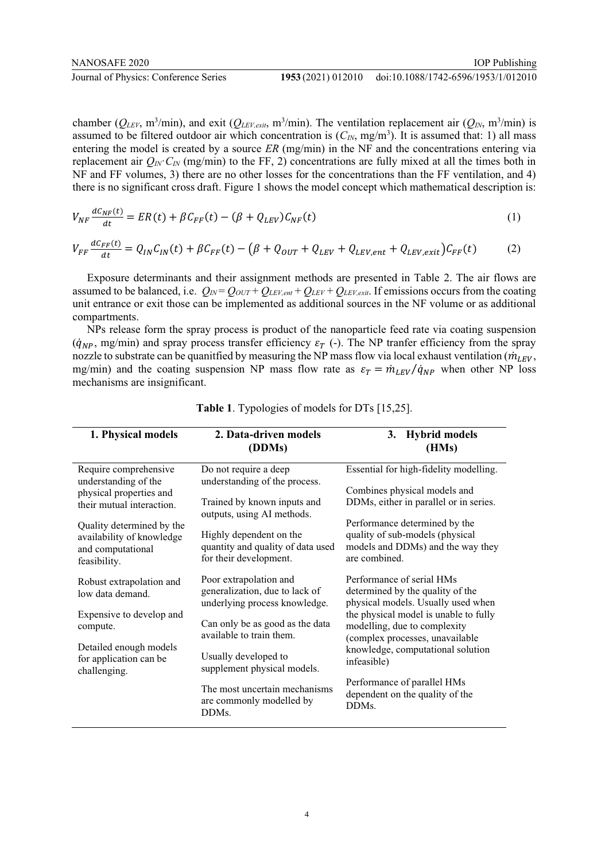chamber ( $Q_{LEV}$ , m<sup>3</sup>/min), and exit ( $Q_{LEV,exit}$ , m<sup>3</sup>/min). The ventilation replacement air ( $Q_{IN}$ , m<sup>3</sup>/min) is assumed to be filtered outdoor air which concentration is  $(C_{I/N}, mg/m^3)$ . It is assumed that: 1) all mass entering the model is created by a source *ER* (mg/min) in the NF and the concentrations entering via replacement air  $Q_{IN}$ ·*C<sub>IN</sub>* (mg/min) to the FF, 2) concentrations are fully mixed at all the times both in NF and FF volumes, 3) there are no other losses for the concentrations than the FF ventilation, and 4) there is no significant cross draft. Figure 1 shows the model concept which mathematical description is:

$$
V_{NF}\frac{dC_{NF}(t)}{dt} = ER(t) + \beta C_{FF}(t) - (\beta + Q_{LEV})C_{NF}(t)
$$
\n(1)

$$
V_{FF}\frac{dC_{FF}(t)}{dt} = Q_{IN}C_{IN}(t) + \beta C_{FF}(t) - (\beta + Q_{OUT} + Q_{LEV} + Q_{LEV,ent} + Q_{LEV,exit})C_{FF}(t)
$$
(2)

Exposure determinants and their assignment methods are presented in Table 2. The air flows are assumed to be balanced, i.e.  $Q_{IN} = Q_{OUT} + Q_{LEV,ent} + Q_{LEV} + Q_{LEV,exit}$ . If emissions occurs from the coating unit entrance or exit those can be implemented as additional sources in the NF volume or as additional compartments.

NPs release form the spray process is product of the nanoparticle feed rate via coating suspension  $(\dot{q}_{NP}, \text{mg/min})$  and spray process transfer efficiency  $\varepsilon_T$  (-). The NP tranfer efficiency from the spray nozzle to substrate can be quanitfied by measuring the NP mass flow via local exhaust ventilation ( $\dot{m}_{LEV}$ , mg/min) and the coating suspension NP mass flow rate as  $\varepsilon_T = \dot{m}_{LEV}/\dot{q}_{NP}$  when other NP loss mechanisms are insignificant.

| 1. Physical models                                                                                                                                                                                   | 2. Data-driven models<br>(DDMs)                                                                                                                                                                                                                                                                    | 3. Hybrid models<br>(HMs)                                                                                                                                                                                                                                                                                                                                   |  |  |  |  |  |  |
|------------------------------------------------------------------------------------------------------------------------------------------------------------------------------------------------------|----------------------------------------------------------------------------------------------------------------------------------------------------------------------------------------------------------------------------------------------------------------------------------------------------|-------------------------------------------------------------------------------------------------------------------------------------------------------------------------------------------------------------------------------------------------------------------------------------------------------------------------------------------------------------|--|--|--|--|--|--|
| Require comprehensive<br>understanding of the<br>physical properties and<br>their mutual interaction.<br>Quality determined by the<br>availability of knowledge<br>and computational<br>feasibility. | Do not require a deep<br>understanding of the process.<br>Trained by known inputs and<br>outputs, using AI methods.<br>Highly dependent on the<br>quantity and quality of data used<br>for their development.                                                                                      | Essential for high-fidelity modelling.<br>Combines physical models and<br>DDMs, either in parallel or in series.<br>Performance determined by the<br>quality of sub-models (physical<br>models and DDMs) and the way they<br>are combined.                                                                                                                  |  |  |  |  |  |  |
| Robust extrapolation and<br>low data demand.<br>Expensive to develop and<br>compute.<br>Detailed enough models<br>for application can be<br>challenging.                                             | Poor extrapolation and<br>generalization, due to lack of<br>underlying process knowledge.<br>Can only be as good as the data<br>available to train them.<br>Usually developed to<br>supplement physical models.<br>The most uncertain mechanisms<br>are commonly modelled by<br>DDM <sub>s</sub> . | Performance of serial HMs<br>determined by the quality of the<br>physical models. Usually used when<br>the physical model is unable to fully<br>modelling, due to complexity<br>(complex processes, unavailable<br>knowledge, computational solution<br>infeasible)<br>Performance of parallel HMs<br>dependent on the quality of the<br>DDM <sub>s</sub> . |  |  |  |  |  |  |

**Table 1**. Typologies of models for DTs [15,25].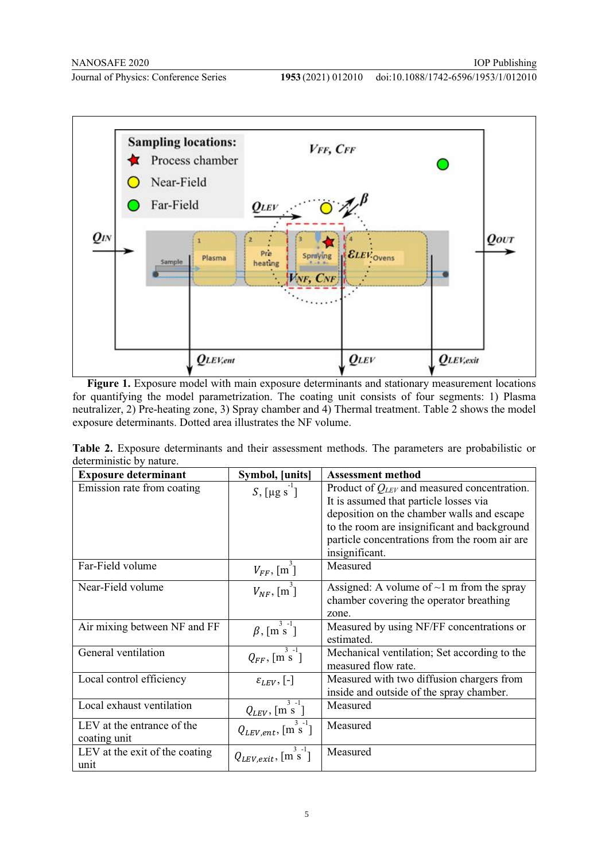

Figure 1. Exposure model with main exposure determinants and stationary measurement locations for quantifying the model parametrization. The coating unit consists of four segments: 1) Plasma neutralizer, 2) Pre-heating zone, 3) Spray chamber and 4) Thermal treatment. Table 2 shows the model exposure determinants. Dotted area illustrates the NF volume.

**Table 2.** Exposure determinants and their assessment methods. The parameters are probabilistic or deterministic by nature.

| <b>Exposure determinant</b>    | Symbol, [units]                   | <b>Assessment method</b>                         |  |  |  |  |  |
|--------------------------------|-----------------------------------|--------------------------------------------------|--|--|--|--|--|
| Emission rate from coating     | $S$ , [µg s ]                     | Product of $Q_{LEV}$ and measured concentration. |  |  |  |  |  |
|                                |                                   | It is assumed that particle losses via           |  |  |  |  |  |
|                                |                                   | deposition on the chamber walls and escape       |  |  |  |  |  |
|                                |                                   | to the room are insignificant and background     |  |  |  |  |  |
|                                |                                   | particle concentrations from the room air are    |  |  |  |  |  |
|                                |                                   | insignificant.                                   |  |  |  |  |  |
| Far-Field volume               | $V_{FF}$ , [m <sup>3</sup> ]      | Measured                                         |  |  |  |  |  |
| Near-Field volume              | $V_{NF}$ , [m]                    | Assigned: A volume of $\sim$ 1 m from the spray  |  |  |  |  |  |
|                                |                                   | chamber covering the operator breathing          |  |  |  |  |  |
|                                |                                   | zone.                                            |  |  |  |  |  |
| Air mixing between NF and FF   | $\beta$ , $\lceil m^3 s^1 \rceil$ | Measured by using NF/FF concentrations or        |  |  |  |  |  |
|                                |                                   | estimated.                                       |  |  |  |  |  |
| General ventilation            | $Q_{FF}$ , [m s ]                 | Mechanical ventilation; Set according to the     |  |  |  |  |  |
|                                |                                   | measured flow rate.                              |  |  |  |  |  |
| Local control efficiency       | $\varepsilon_{LEV},$ [-]          | Measured with two diffusion chargers from        |  |  |  |  |  |
|                                |                                   | inside and outside of the spray chamber.         |  |  |  |  |  |
| Local exhaust ventilation      | $Q_{LEV}$ , [m <sup>3-1</sup> ]   | Measured                                         |  |  |  |  |  |
| LEV at the entrance of the     | $Q_{LEV,ent}$ , [m s ]            | Measured                                         |  |  |  |  |  |
| coating unit                   |                                   |                                                  |  |  |  |  |  |
| LEV at the exit of the coating | $Q_{LEV,exit}$ , [m s ]           | Measured                                         |  |  |  |  |  |
| unit                           |                                   |                                                  |  |  |  |  |  |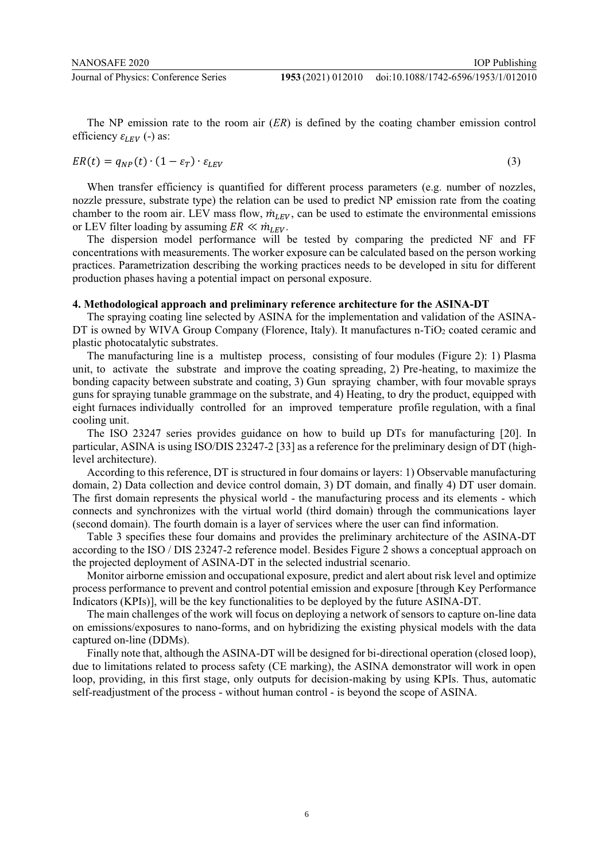doi:10.1088/1742-6596/1953/1/012010

The NP emission rate to the room air (*ER*) is defined by the coating chamber emission control efficiency  $\varepsilon_{LEV}$  (-) as:

$$
ER(t) = q_{NP}(t) \cdot (1 - \varepsilon_T) \cdot \varepsilon_{LEV} \tag{3}
$$

When transfer efficiency is quantified for different process parameters (e.g. number of nozzles, nozzle pressure, substrate type) the relation can be used to predict NP emission rate from the coating chamber to the room air. LEV mass flow,  $\dot{m}_{LEV}$ , can be used to estimate the environmental emissions or LEV filter loading by assuming  $ER \ll m_{LEV}$ .

The dispersion model performance will be tested by comparing the predicted NF and FF concentrations with measurements. The worker exposure can be calculated based on the person working practices. Parametrization describing the working practices needs to be developed in situ for different production phases having a potential impact on personal exposure.

#### **4. Methodological approach and preliminary reference architecture for the ASINA-DT**

The spraying coating line selected by ASINA for the implementation and validation of the ASINA-DT is owned by WIVA Group Company (Florence, Italy). It manufactures n-TiO<sub>2</sub> coated ceramic and plastic photocatalytic substrates.

The manufacturing line is a multistep process, consisting of four modules (Figure 2): 1) Plasma unit, to activate the substrate and improve the coating spreading, 2) Pre-heating, to maximize the bonding capacity between substrate and coating, 3) Gun spraying chamber, with four movable sprays guns for spraying tunable grammage on the substrate, and 4) Heating, to dry the product, equipped with eight furnaces individually controlled for an improved temperature profile regulation, with a final cooling unit.

The ISO 23247 series provides guidance on how to build up DTs for manufacturing [20]. In particular, ASINA is using ISO/DIS 23247-2 [33] as a reference for the preliminary design of DT (highlevel architecture).

According to this reference, DT is structured in four domains or layers: 1) Observable manufacturing domain, 2) Data collection and device control domain, 3) DT domain, and finally 4) DT user domain. The first domain represents the physical world - the manufacturing process and its elements - which connects and synchronizes with the virtual world (third domain) through the communications layer (second domain). The fourth domain is a layer of services where the user can find information.

Table 3 specifies these four domains and provides the preliminary architecture of the ASINA-DT according to the ISO / DIS 23247-2 reference model. Besides Figure 2 shows a conceptual approach on the projected deployment of ASINA-DT in the selected industrial scenario.

Monitor airborne emission and occupational exposure, predict and alert about risk level and optimize process performance to prevent and control potential emission and exposure [through Key Performance Indicators (KPIs)], will be the key functionalities to be deployed by the future ASINA-DT.

The main challenges of the work will focus on deploying a network of sensors to capture on-line data on emissions/exposures to nano-forms, and on hybridizing the existing physical models with the data captured on-line (DDMs).

Finally note that, although the ASINA-DT will be designed for bi-directional operation (closed loop), due to limitations related to process safety (CE marking), the ASINA demonstrator will work in open loop, providing, in this first stage, only outputs for decision-making by using KPIs. Thus, automatic self-readjustment of the process - without human control - is beyond the scope of ASINA.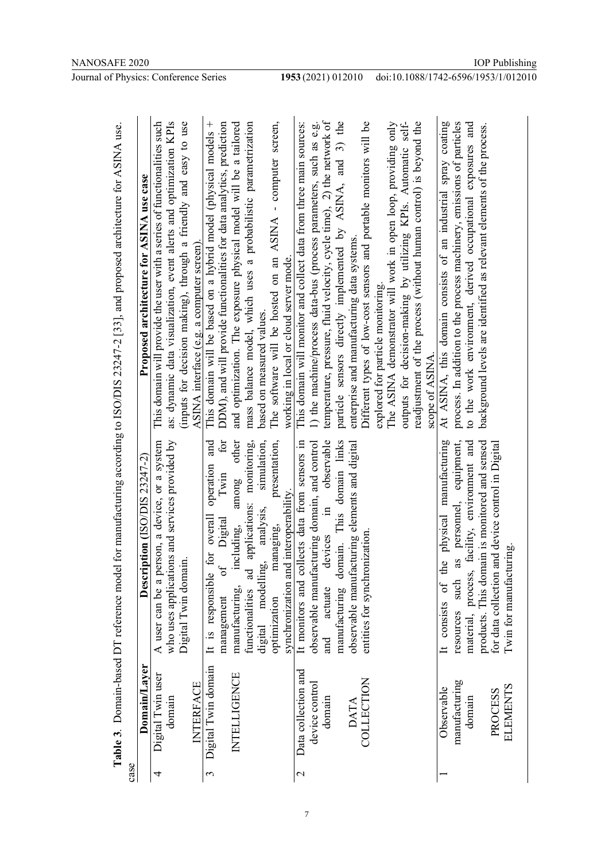| Table 3. Domain-based DT reference model for manufacturing according to ISO/DIS 23247-2 [33], and proposed architecture for ASINA use. | Proposed architecture for ASINA use case<br>Description (ISO/DIS 23247-2) | This domain will provide the user with a series of functionalities such<br>as: dynamic data visualization, event alerts and optimization KPIs<br>(inputs for decision making), through a friendly and easy to use<br>who uses applications and services provided by<br>A user can be a person, a device, or a system<br>Digital Twin domain. | ASINA interface (e.g. a computer screen). | This domain will be based on a hybrid model (physical models +<br>DDM), and will provide functionalities for data analytics, prediction<br>for<br>and<br>operation<br>Twin<br>for overall<br>Digital<br>$\mathfrak{b}$<br>It is responsible<br>management | and optimization. The exposure physical model will be a tailored<br>mass balance model, which uses a probabilistic parametrization<br>other<br>applications: monitoring,<br>among<br>including,<br>functionalities ad<br>manufacturing, | The software will be hosted on an ASINA - computer screen,<br>based on measured values.<br>simulation,<br>presentation,<br>analysis,<br>managing,<br>digital modelling,<br>optimization | working in local or cloud server mode.<br>synchronization and interoperability. | This domain will monitor and collect data from three main sources:<br>It monitors and collects data from sensors in | temperature, pressure, fluid velocity, cycle time), 2) the network of<br>1) the machine/process data-bus (process parameters, such as e.g.<br>observable<br>observable manufacturing domain, and control<br>$\Xi$<br>devices<br>actuate<br>and | particle sensors directly implemented by ASINA, and 3) the<br>manufacturing domain. This domain links | enterprise and manufacturing data systems.<br>observable manufacturing elements and digital | Different types of low-cost sensors and portable monitors will be<br>entities for synchronization | The ASINA demonstrator will work in open loop, providing only<br>explored for particle monitoring. | outputs for decision-making by utilizing KPIs. Automatic self- | readjustment of the process (without human control) is beyond the<br>scope of ASINA. | At ASINA, this domain consists of an industrial spray coating<br>It consists of the physical manufacturing | process. In addition to the process machinery, emissions of particles<br>to the work environment, derived occupational exposures and<br>as personnel, equipment,<br>material, process, facility, environment and<br>such<br>resources | background levels are identified as relevant elements of the process.<br>ain is monitored and sensed<br>products. This dom | for data collection and device control in Digital<br>Twin for manufacturing. |  |
|----------------------------------------------------------------------------------------------------------------------------------------|---------------------------------------------------------------------------|----------------------------------------------------------------------------------------------------------------------------------------------------------------------------------------------------------------------------------------------------------------------------------------------------------------------------------------------|-------------------------------------------|-----------------------------------------------------------------------------------------------------------------------------------------------------------------------------------------------------------------------------------------------------------|-----------------------------------------------------------------------------------------------------------------------------------------------------------------------------------------------------------------------------------------|-----------------------------------------------------------------------------------------------------------------------------------------------------------------------------------------|---------------------------------------------------------------------------------|---------------------------------------------------------------------------------------------------------------------|------------------------------------------------------------------------------------------------------------------------------------------------------------------------------------------------------------------------------------------------|-------------------------------------------------------------------------------------------------------|---------------------------------------------------------------------------------------------|---------------------------------------------------------------------------------------------------|----------------------------------------------------------------------------------------------------|----------------------------------------------------------------|--------------------------------------------------------------------------------------|------------------------------------------------------------------------------------------------------------|---------------------------------------------------------------------------------------------------------------------------------------------------------------------------------------------------------------------------------------|----------------------------------------------------------------------------------------------------------------------------|------------------------------------------------------------------------------|--|
| case                                                                                                                                   | Domain/Layer                                                              | Digital Twin user<br>domain<br>4                                                                                                                                                                                                                                                                                                             | <b>INTERFACE</b>                          | Digital Twin domain<br>3                                                                                                                                                                                                                                  | INTELLIGENCE                                                                                                                                                                                                                            |                                                                                                                                                                                         |                                                                                 | Data collection and<br>$\mathcal{C}$                                                                                | device control<br>domain                                                                                                                                                                                                                       |                                                                                                       | <b>DATA</b>                                                                                 | COLLECTION                                                                                        |                                                                                                    |                                                                |                                                                                      | Observable                                                                                                 | manufacturing<br>domain                                                                                                                                                                                                               |                                                                                                                            | <b>ELEMENTS</b><br>PROCESS                                                   |  |

1953 (2021) 012010 doi:10.1088/1742-6596/1953/1/012010

7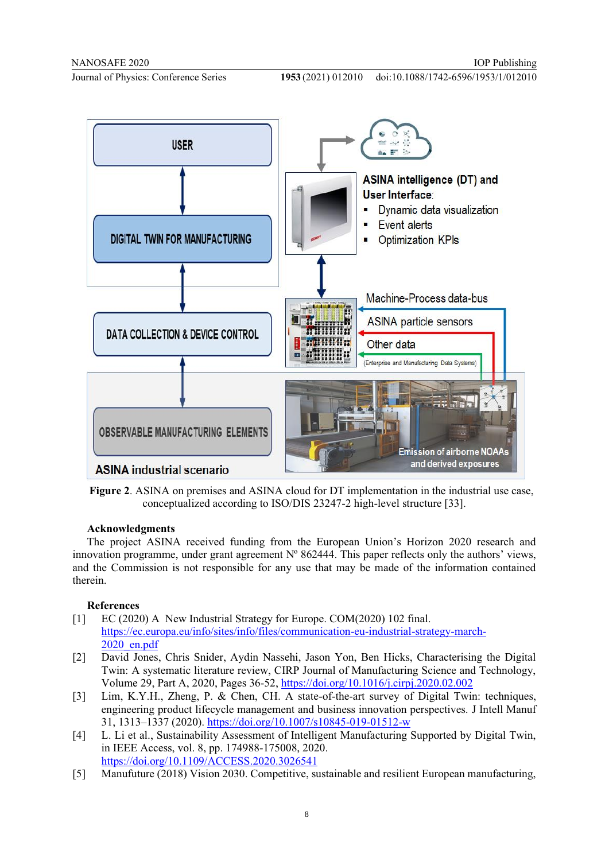

**Figure 2**. ASINA on premises and ASINA cloud for DT implementation in the industrial use case, conceptualized according to ISO/DIS 23247-2 high-level structure [33].

#### **Acknowledgments**

The project ASINA received funding from the European Union's Horizon 2020 research and innovation programme, under grant agreement  $N^{\circ}$  862444. This paper reflects only the authors' views, and the Commission is not responsible for any use that may be made of the information contained therein.

#### **References**

- [1] EC (2020) A New Industrial Strategy for Europe. COM(2020) 102 final. https://ec.europa.eu/info/sites/info/files/communication-eu-industrial-strategy-march-2020\_en.pdf
- [2] David Jones, Chris Snider, Aydin Nassehi, Jason Yon, Ben Hicks, Characterising the Digital Twin: A systematic literature review, CIRP Journal of Manufacturing Science and Technology, Volume 29, Part A, 2020, Pages 36-52, https://doi.org/10.1016/j.cirpj.2020.02.002
- [3] Lim, K.Y.H., Zheng, P. & Chen, CH. A state-of-the-art survey of Digital Twin: techniques, engineering product lifecycle management and business innovation perspectives. J Intell Manuf 31, 1313–1337 (2020). https://doi.org/10.1007/s10845-019-01512-w
- [4] L. Li et al., Sustainability Assessment of Intelligent Manufacturing Supported by Digital Twin, in IEEE Access, vol. 8, pp. 174988-175008, 2020. https://doi.org/10.1109/ACCESS.2020.3026541
- [5] Manufuture (2018) Vision 2030. Competitive, sustainable and resilient European manufacturing,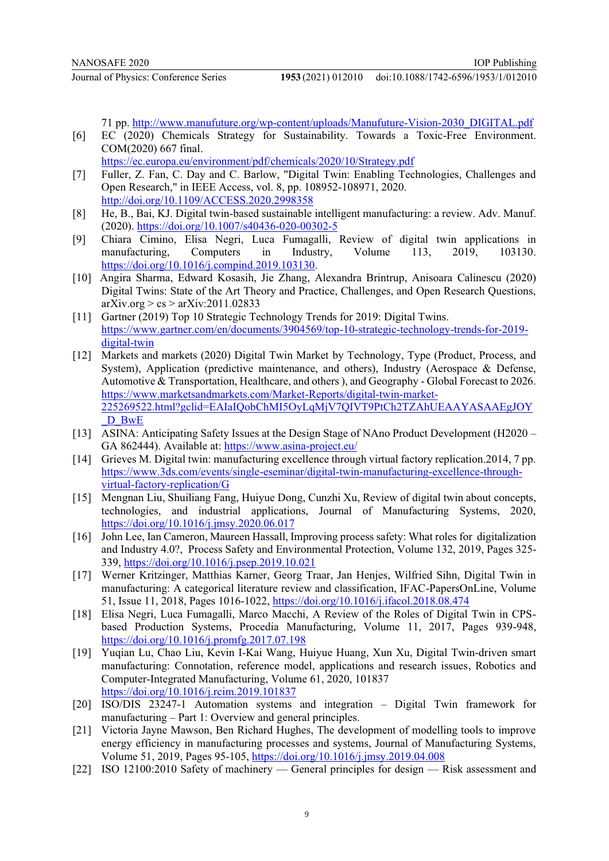71 pp. http://www.manufuture.org/wp-content/uploads/Manufuture-Vision-2030\_DIGITAL.pdf

- [6] EC (2020) Chemicals Strategy for Sustainability. Towards a Toxic-Free Environment. COM(2020) 667 final.
	- https://ec.europa.eu/environment/pdf/chemicals/2020/10/Strategy.pdf
- [7] Fuller, Z. Fan, C. Day and C. Barlow, "Digital Twin: Enabling Technologies, Challenges and Open Research," in IEEE Access, vol. 8, pp. 108952-108971, 2020. http://doi.org/10.1109/ACCESS.2020.2998358
- [8] He, B., Bai, KJ. Digital twin-based sustainable intelligent manufacturing: a review. Adv. Manuf. (2020). https://doi.org/10.1007/s40436-020-00302-5
- [9] Chiara Cimino, Elisa Negri, Luca Fumagalli, Review of digital twin applications in manufacturing, Computers in Industry, Volume 113, 2019, 103130. https://doi.org/10.1016/j.compind.2019.103130.
- [10] Angira Sharma, Edward Kosasih, Jie Zhang, Alexandra Brintrup, Anisoara Calinescu (2020) Digital Twins: State of the Art Theory and Practice, Challenges, and Open Research Questions,  $arXiv.org > cs > arXiv:2011.02833$
- [11] Gartner (2019) Top 10 Strategic Technology Trends for 2019: Digital Twins. https://www.gartner.com/en/documents/3904569/top-10-strategic-technology-trends-for-2019 digital-twin
- [12] Markets and markets (2020) Digital Twin Market by Technology, Type (Product, Process, and System), Application (predictive maintenance, and others), Industry (Aerospace & Defense, Automotive & Transportation, Healthcare, and others ), and Geography - Global Forecast to 2026. https://www.marketsandmarkets.com/Market-Reports/digital-twin-market-225269522.html?gclid=EAIaIQobChMI5OyLqMjV7QIVT9PtCh2TZAhUEAAYASAAEgJOY D BwE
- [13] ASINA: Anticipating Safety Issues at the Design Stage of NAno Product Development (H2020 GA 862444). Available at: https://www.asina-project.eu/
- [14] Grieves M. Digital twin: manufacturing excellence through virtual factory replication.2014, 7 pp. https://www.3ds.com/events/single-eseminar/digital-twin-manufacturing-excellence-throughvirtual-factory-replication/G
- [15] Mengnan Liu, Shuiliang Fang, Huiyue Dong, Cunzhi Xu, Review of digital twin about concepts, technologies, and industrial applications, Journal of Manufacturing Systems, 2020, https://doi.org/10.1016/j.jmsy.2020.06.017
- [16] John Lee, Ian Cameron, Maureen Hassall, Improving process safety: What roles for digitalization and Industry 4.0?, Process Safety and Environmental Protection, Volume 132, 2019, Pages 325- 339, https://doi.org/10.1016/j.psep.2019.10.021
- [17] Werner Kritzinger, Matthias Karner, Georg Traar, Jan Henjes, Wilfried Sihn, Digital Twin in manufacturing: A categorical literature review and classification, IFAC-PapersOnLine, Volume 51, Issue 11, 2018, Pages 1016-1022, https://doi.org/10.1016/j.ifacol.2018.08.474
- [18] Elisa Negri, Luca Fumagalli, Marco Macchi, A Review of the Roles of Digital Twin in CPSbased Production Systems, Procedia Manufacturing, Volume 11, 2017, Pages 939-948, https://doi.org/10.1016/j.promfg.2017.07.198
- [19] Yuqian Lu, Chao Liu, Kevin I-Kai Wang, Huiyue Huang, Xun Xu, Digital Twin-driven smart manufacturing: Connotation, reference model, applications and research issues, Robotics and Computer-Integrated Manufacturing, Volume 61, 2020, 101837 https://doi.org/10.1016/j.rcim.2019.101837
- [20] ISO/DIS 23247-1 Automation systems and integration Digital Twin framework for manufacturing – Part 1: Overview and general principles.
- [21] Victoria Jayne Mawson, Ben Richard Hughes, The development of modelling tools to improve energy efficiency in manufacturing processes and systems, Journal of Manufacturing Systems, Volume 51, 2019, Pages 95-105, https://doi.org/10.1016/j.jmsy.2019.04.008
- [22] ISO 12100:2010 Safety of machinery General principles for design Risk assessment and